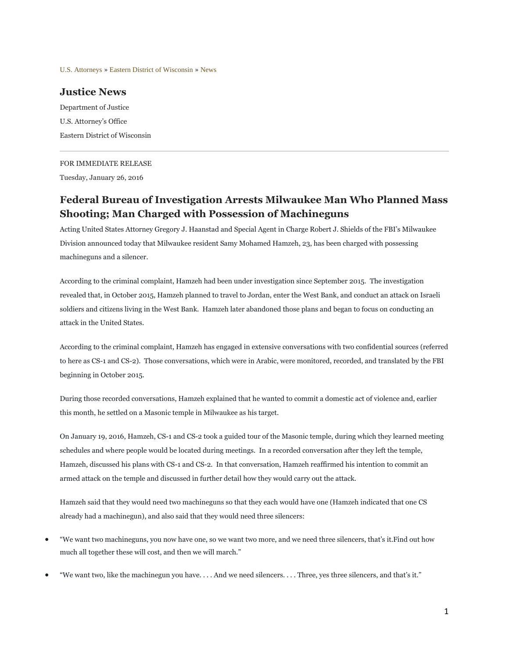[U.S. Attorneys](http://www.justice.gov/usao) » [Eastern District of Wisconsin](http://www.justice.gov/usao-edwi) » [News](http://www.justice.gov/usao-edwi/pr)

## **Justice News**

Department of Justice U.S. Attorney's Office Eastern District of Wisconsin

## FOR IMMEDIATE RELEASE

Tuesday, January 26, 2016

## **Federal Bureau of Investigation Arrests Milwaukee Man Who Planned Mass Shooting; Man Charged with Possession of Machineguns**

Acting United States Attorney Gregory J. Haanstad and Special Agent in Charge Robert J. Shields of the FBI's Milwaukee Division announced today that Milwaukee resident Samy Mohamed Hamzeh, 23, has been charged with possessing machineguns and a silencer.

According to the criminal complaint, Hamzeh had been under investigation since September 2015. The investigation revealed that, in October 2015, Hamzeh planned to travel to Jordan, enter the West Bank, and conduct an attack on Israeli soldiers and citizens living in the West Bank. Hamzeh later abandoned those plans and began to focus on conducting an attack in the United States.

According to the criminal complaint, Hamzeh has engaged in extensive conversations with two confidential sources (referred to here as CS-1 and CS-2). Those conversations, which were in Arabic, were monitored, recorded, and translated by the FBI beginning in October 2015.

During those recorded conversations, Hamzeh explained that he wanted to commit a domestic act of violence and, earlier this month, he settled on a Masonic temple in Milwaukee as his target.

On January 19, 2016, Hamzeh, CS-1 and CS-2 took a guided tour of the Masonic temple, during which they learned meeting schedules and where people would be located during meetings. In a recorded conversation after they left the temple, Hamzeh, discussed his plans with CS-1 and CS-2. In that conversation, Hamzeh reaffirmed his intention to commit an armed attack on the temple and discussed in further detail how they would carry out the attack.

Hamzeh said that they would need two machineguns so that they each would have one (Hamzeh indicated that one CS already had a machinegun), and also said that they would need three silencers:

- "We want two machineguns, you now have one, so we want two more, and we need three silencers, that's it.Find out how much all together these will cost, and then we will march."
- "We want two, like the machinegun you have. . . . And we need silencers. . . . Three, yes three silencers, and that's it."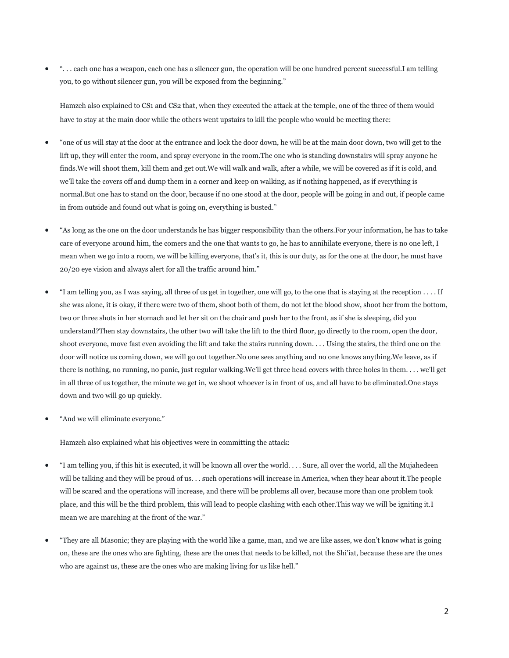". . . each one has a weapon, each one has a silencer gun, the operation will be one hundred percent successful.I am telling you, to go without silencer gun, you will be exposed from the beginning."

Hamzeh also explained to CS1 and CS2 that, when they executed the attack at the temple, one of the three of them would have to stay at the main door while the others went upstairs to kill the people who would be meeting there:

- "one of us will stay at the door at the entrance and lock the door down, he will be at the main door down, two will get to the lift up, they will enter the room, and spray everyone in the room. The one who is standing downstairs will spray anyone he finds.We will shoot them, kill them and get out.We will walk and walk, after a while, we will be covered as if it is cold, and we'll take the covers off and dump them in a corner and keep on walking, as if nothing happened, as if everything is normal.But one has to stand on the door, because if no one stood at the door, people will be going in and out, if people came in from outside and found out what is going on, everything is busted."
- "As long as the one on the door understands he has bigger responsibility than the others.For your information, he has to take care of everyone around him, the comers and the one that wants to go, he has to annihilate everyone, there is no one left, I mean when we go into a room, we will be killing everyone, that's it, this is our duty, as for the one at the door, he must have 20/20 eye vision and always alert for all the traffic around him."
- "I am telling you, as I was saying, all three of us get in together, one will go, to the one that is staying at the reception . . . . If she was alone, it is okay, if there were two of them, shoot both of them, do not let the blood show, shoot her from the bottom, two or three shots in her stomach and let her sit on the chair and push her to the front, as if she is sleeping, did you understand?Then stay downstairs, the other two will take the lift to the third floor, go directly to the room, open the door, shoot everyone, move fast even avoiding the lift and take the stairs running down. . . . Using the stairs, the third one on the door will notice us coming down, we will go out together.No one sees anything and no one knows anything.We leave, as if there is nothing, no running, no panic, just regular walking.We'll get three head covers with three holes in them. . . . we'll get in all three of us together, the minute we get in, we shoot whoever is in front of us, and all have to be eliminated.One stays down and two will go up quickly.
- "And we will eliminate everyone."

Hamzeh also explained what his objectives were in committing the attack:

- "I am telling you, if this hit is executed, it will be known all over the world. . . . Sure, all over the world, all the Mujahedeen will be talking and they will be proud of us. . . such operations will increase in America, when they hear about it.The people will be scared and the operations will increase, and there will be problems all over, because more than one problem took place, and this will be the third problem, this will lead to people clashing with each other.This way we will be igniting it.I mean we are marching at the front of the war."
- "They are all Masonic; they are playing with the world like a game, man, and we are like asses, we don't know what is going on, these are the ones who are fighting, these are the ones that needs to be killed, not the Shi'iat, because these are the ones who are against us, these are the ones who are making living for us like hell."